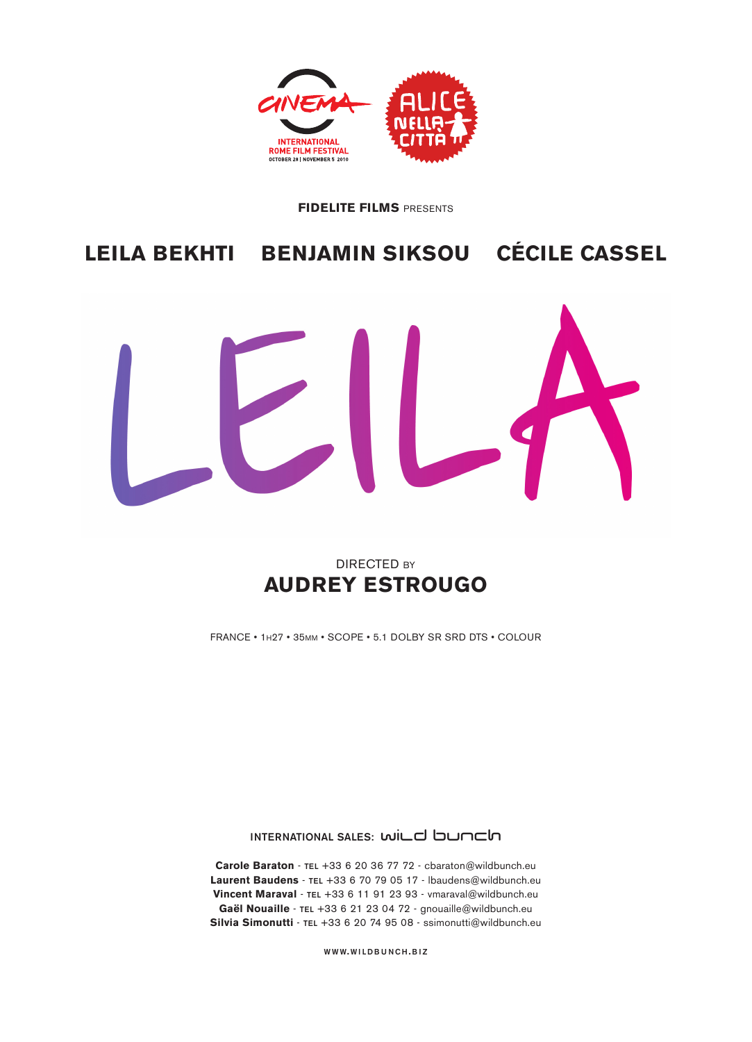

#### **FIDELITE FILMS** PRESENTS

# **LEILA BEKHTI BENJAMIN SIKSOU CÉCILE CASSEL**



# DIRECTED BY **AUDREY ESTROUGO**

FRANCE • 1H27 • 35MM • SCOPE • 5.1 DOLBY SR SRD DTS • COLOUR

**INTERNATIONAL SALES: WILD bunch** 

**Carole Baraton** - **TEL** +33 6 20 36 77 72 - cbaraton@wildbunch.eu **Laurent Baudens** - **TEL** +33 6 70 79 05 17 - lbaudens@wildbunch.eu **Vincent Maraval** - **TEL** +33 6 11 91 23 93 - vmaraval@wildbunch.eu **Gaël Nouaille** - **TEL** +33 6 21 23 04 72 - gnouaille@wildbunch.eu **Silvia Simonutti** - **TEL** +33 6 20 74 95 08 - ssimonutti@wildbunch.eu

**WWW. WILDBUNCH .BIZ**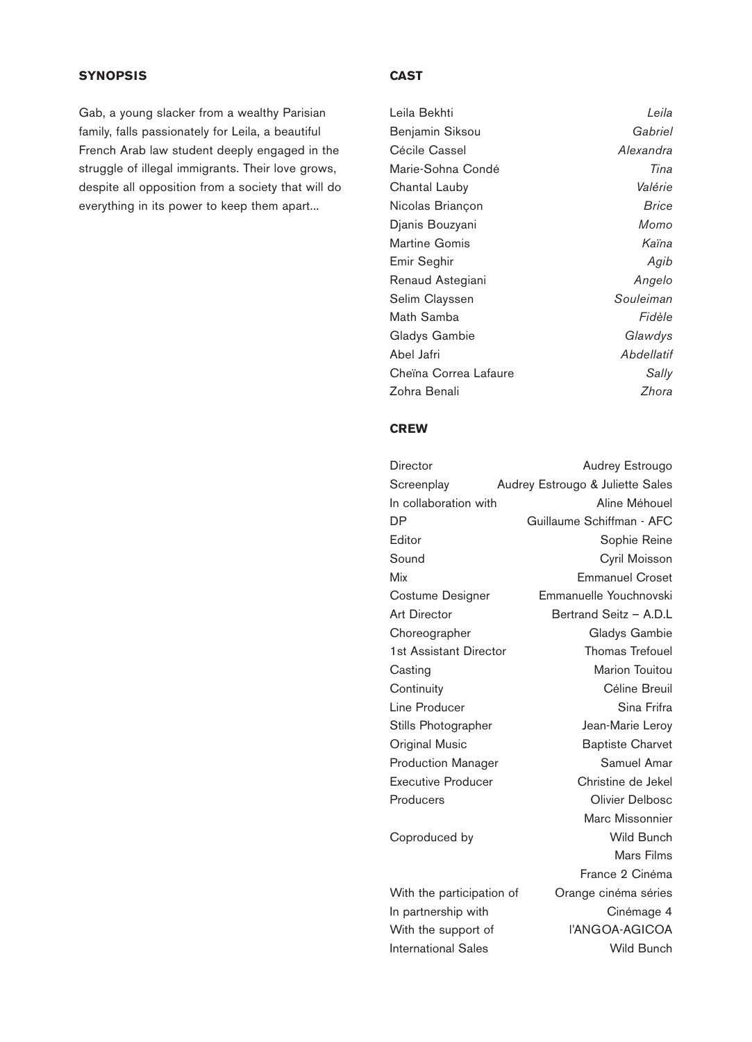# **SYNOPSIS**

Gab, a young slacker from a wealthy Parisian family, falls passionately for Leila, a beautiful French Arab law student deeply engaged in the struggle of illegal immigrants. Their love grows, despite all opposition from a society that will do everything in its power to keep them apart...

# **CAST**

| Leila Bekhti          | Leila      |
|-----------------------|------------|
| Benjamin Siksou       | Gabriel    |
| Cécile Cassel         | Alexandra  |
| Marie-Sohna Condé     | Tina       |
| Chantal Lauby         | Valérie    |
| Nicolas Briançon      | Brice      |
| Djanis Bouzyani       | Momo       |
| <b>Martine Gomis</b>  | Kaïna      |
| Emir Seghir           | Agib       |
| Renaud Astegiani      | Angelo     |
| Selim Clayssen        | Souleiman  |
| Math Samba            | Fidèle     |
| Gladys Gambie         | Glawdys    |
| Abel Jafri            | Abdellatif |
| Cheïna Correa Lafaure | Sally      |
| Zohra Benali          | Zhora      |

# **CREW**

| Director                   | Audrey Estrougo                  |
|----------------------------|----------------------------------|
| Screenplay                 | Audrey Estrougo & Juliette Sales |
| In collaboration with      | Aline Méhouel                    |
| DΡ                         | Guillaume Schiffman - AFC        |
| Editor                     | Sophie Reine                     |
| Sound                      | Cyril Moisson                    |
| Mix                        | <b>Emmanuel Croset</b>           |
| Costume Designer           | Emmanuelle Youchnovski           |
| <b>Art Director</b>        | Bertrand Seitz - A.D.L           |
| Choreographer              | Gladys Gambie                    |
| 1st Assistant Director     | <b>Thomas Trefouel</b>           |
| Casting                    | Marion Touitou                   |
| Continuity                 | Céline Breuil                    |
| Line Producer              | Sina Frifra                      |
| Stills Photographer        | Jean-Marie Leroy                 |
| <b>Original Music</b>      | <b>Baptiste Charvet</b>          |
| <b>Production Manager</b>  | Samuel Amar                      |
| <b>Executive Producer</b>  | Christine de Jekel               |
| Producers                  | Olivier Delbosc                  |
|                            | Marc Missonnier                  |
| Coproduced by              | <b>Wild Bunch</b>                |
|                            | Mars Films                       |
|                            | France 2 Cinéma                  |
| With the participation of  | Orange cinéma séries             |
| In partnership with        | Cinémage 4                       |
| With the support of        | l'ANGOA-AGICOA                   |
| <b>International Sales</b> | Wild Bunch                       |
|                            |                                  |
|                            |                                  |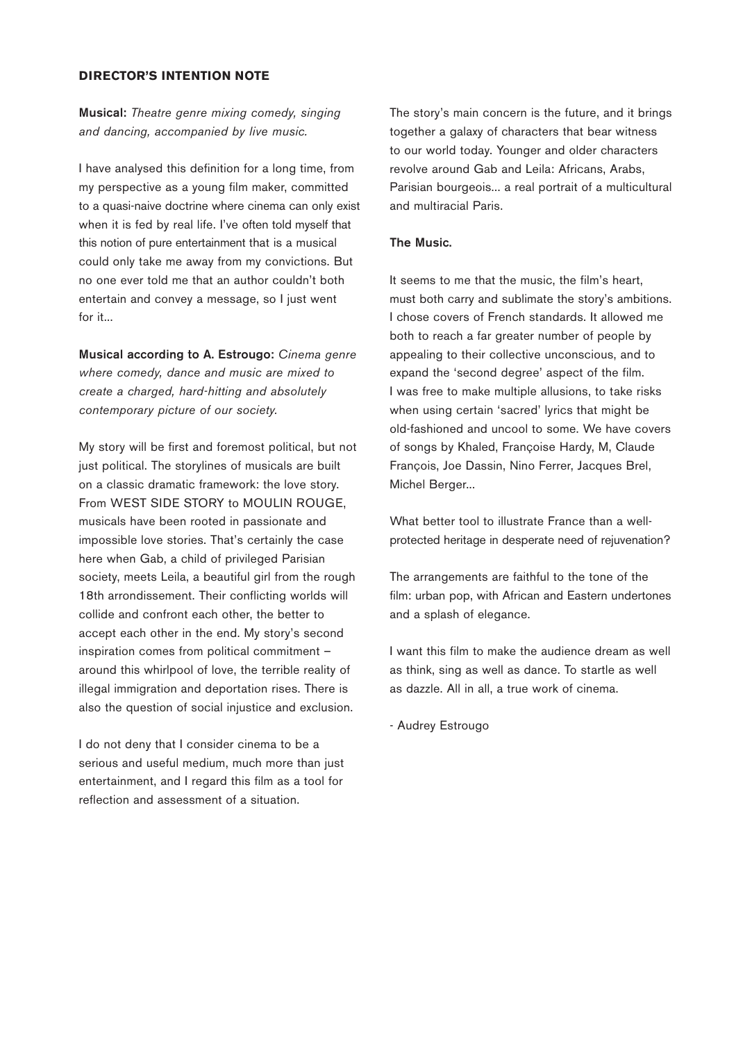#### **DIRECTOR'S INTENTION NOTE**

**Musical:** *Theatre genre mixing comedy, singing and dancing, accompanied by live music.* 

I have analysed this definition for a long time, from my perspective as a young film maker, committed to a quasi-naive doctrine where cinema can only exist when it is fed by real life. I've often told myself that this notion of pure entertainment that is a musical could only take me away from my convictions. But no one ever told me that an author couldn't both entertain and convey a message, so I just went for it...

**Musical according to A. Estrougo:** *Cinema genre where comedy, dance and music are mixed to create a charged, hard-hitting and absolutely contemporary picture of our society.*

My story will be first and foremost political, but not just political. The storylines of musicals are built on a classic dramatic framework: the love story. From WEST SIDE STORY to MOULIN ROUGE, musicals have been rooted in passionate and impossible love stories. That's certainly the case here when Gab, a child of privileged Parisian society, meets Leila, a beautiful girl from the rough 18th arrondissement. Their conflicting worlds will collide and confront each other, the better to accept each other in the end. My story's second inspiration comes from political commitment – around this whirlpool of love, the terrible reality of illegal immigration and deportation rises. There is also the question of social injustice and exclusion.

I do not deny that I consider cinema to be a serious and useful medium, much more than just entertainment, and I regard this film as a tool for reflection and assessment of a situation.

The story's main concern is the future, and it brings together a galaxy of characters that bear witness to our world today. Younger and older characters revolve around Gab and Leila: Africans, Arabs, Parisian bourgeois... a real portrait of a multicultural and multiracial Paris.

#### **The Music.**

It seems to me that the music, the film's heart, must both carry and sublimate the story's ambitions. I chose covers of French standards. It allowed me both to reach a far greater number of people by appealing to their collective unconscious, and to expand the 'second degree' aspect of the film. I was free to make multiple allusions, to take risks when using certain 'sacred' lyrics that might be old-fashioned and uncool to some. We have covers of songs by Khaled, Françoise Hardy, M, Claude François, Joe Dassin, Nino Ferrer, Jacques Brel, Michel Berger...

What better tool to illustrate France than a wellprotected heritage in desperate need of rejuvenation?

The arrangements are faithful to the tone of the film: urban pop, with African and Eastern undertones and a splash of elegance.

I want this film to make the audience dream as well as think, sing as well as dance. To startle as well as dazzle. All in all, a true work of cinema.

- Audrey Estrougo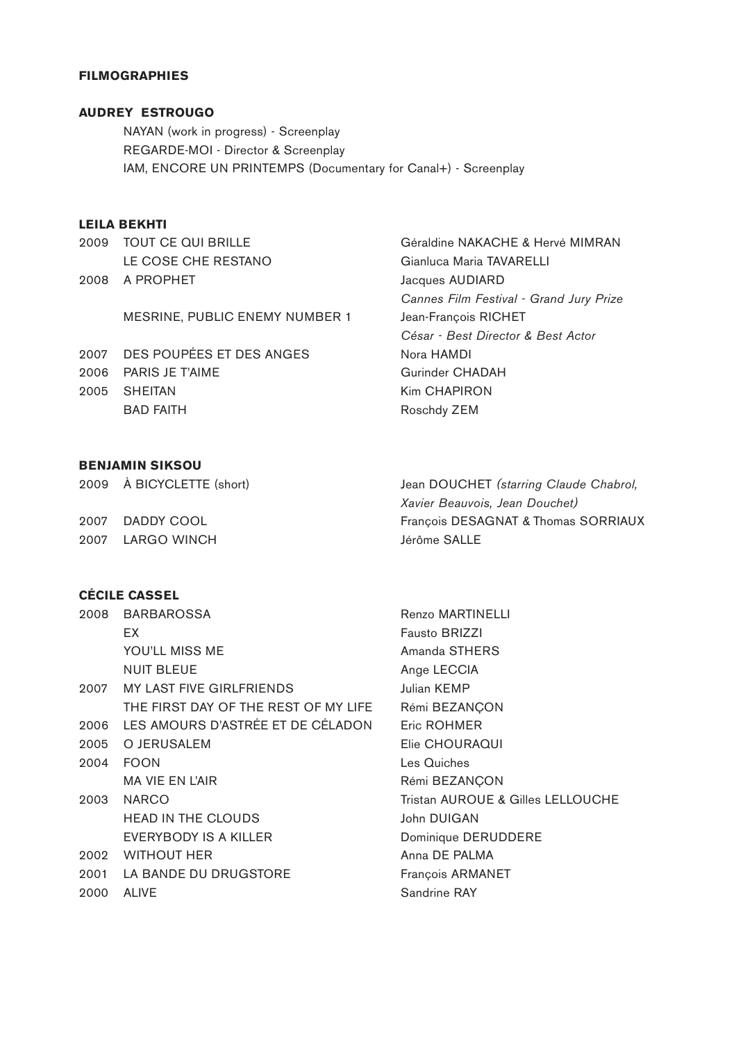#### **FILMOGRAPHIES**

# **AUDREY ESTROUGO**

NAYAN (work in progress) - Screenplay REGARDE-MOI - Director & Screenplay IAM, ENCORE UN PRINTEMPS (Documentary for Canal+) - Screenplay

#### **LEILA BEKHTI**

2009 TOUT CE QUI BRILLE Géraldine NAKACHE & Hervé MIMRAN LE COSE CHE RESTANO Gianluca Maria TAVARELLI 2008 A PROPHET Jacques AUDIARD

MESRINE, PUBLIC ENEMY NUMBER 1 Jean-François RICHET

2007 DES POUPÉES ET DES ANGES Nora HAMDI 2006 PARIS JE T'AIME Gurinder CHADAH 2005 SHEITAN Kim CHAPIRON BAD FAITH **Roschdy ZEM** 

*Cannes Film Festival - Grand Jury Prize César - Best Director & Best Actor*

#### **BENJAMIN SIKSOU**

2009 À BICYCLETTE (short) Jean DOUCHET *(starring Claude Chabrol, Xavier Beauvois, Jean Douchet)* 2007 DADDY COOL François DESAGNAT & Thomas SORRIAUX 2007 LARGO WINCH Jérôme SALLE

# **CÉCILE CASSEL**

|      | 2008 BARBAROSSA                        |
|------|----------------------------------------|
|      | ЕX                                     |
|      | YOU'LL MISS ME                         |
|      | <b>NUIT BLEUE</b>                      |
|      | 2007 MY LAST FIVE GIRLFRIENDS          |
|      | THE FIRST DAY OF THE REST OF MY LIFE   |
|      | 2006 LES AMOURS D'ASTRÉE ET DE CÉLADON |
|      | 2005 O JERUSALEM                       |
|      | 2004 FOON                              |
|      | <b>MA VIE EN L'AIR</b>                 |
| 2003 | <b>NARCO</b>                           |
|      | <b>HEAD IN THE CLOUDS</b>              |
|      | EVERYBODY IS A KILLER                  |
|      | 2002 WITHOUT HER                       |
|      | 2001 LA BANDE DU DRUGSTORE             |
|      | 2000 ALIVE                             |

Renzo MARTINELLI **Fausto BRIZZI** Amanda STHERS Ange LECCIA Julian KEMP Rémi BEZANÇON Eric ROHMER Elie CHOURAQUI Les Quiches Rémi BEZANÇON Tristan AUROUE & Gilles LELLOUCHE John DUIGAN Dominique DERUDDERE Anna DE PALMA François ARMANET Sandrine RAY